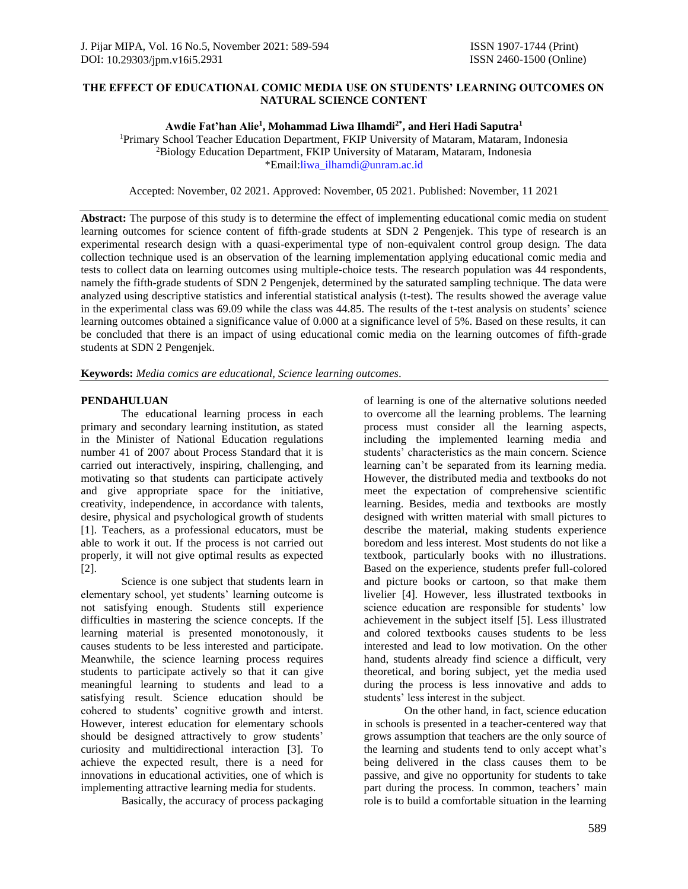# **THE EFFECT OF EDUCATIONAL COMIC MEDIA USE ON STUDENTS' LEARNING OUTCOMES ON NATURAL SCIENCE CONTENT**

### **Awdie Fat'han Alie<sup>1</sup> , Mohammad Liwa Ilhamdi2\* , and Heri Hadi Saputra<sup>1</sup>**

<sup>1</sup>Primary School Teacher Education Department, FKIP University of Mataram, Mataram, Indonesia <sup>2</sup>Biology Education Department, FKIP University of Mataram, Mataram, Indonesia \*Email[:liwa\\_ilhamdi@unram.ac.id](mailto:liwa_ilhamdi@unram.ac.id)

Accepted: November, 02 2021. Approved: November, 05 2021. Published: November, 11 2021

**Abstract:** The purpose of this study is to determine the effect of implementing educational comic media on student learning outcomes for science content of fifth-grade students at SDN 2 Pengenjek. This type of research is an experimental research design with a quasi-experimental type of non-equivalent control group design. The data collection technique used is an observation of the learning implementation applying educational comic media and tests to collect data on learning outcomes using multiple-choice tests. The research population was 44 respondents, namely the fifth-grade students of SDN 2 Pengenjek, determined by the saturated sampling technique. The data were analyzed using descriptive statistics and inferential statistical analysis (t-test). The results showed the average value in the experimental class was 69.09 while the class was 44.85. The results of the t-test analysis on students' science learning outcomes obtained a significance value of 0.000 at a significance level of 5%. Based on these results, it can be concluded that there is an impact of using educational comic media on the learning outcomes of fifth-grade students at SDN 2 Pengenjek.

**Keywords:** *Media comics are educational, Science learning outcomes*.

## **PENDAHULUAN**

The educational learning process in each primary and secondary learning institution, as stated in the Minister of National Education regulations number 41 of 2007 about Process Standard that it is carried out interactively, inspiring, challenging, and motivating so that students can participate actively and give appropriate space for the initiative, creativity, independence, in accordance with talents, desire, physical and psychological growth of students [1]. Teachers, as a professional educators, must be able to work it out. If the process is not carried out properly, it will not give optimal results as expected [2].

Science is one subject that students learn in elementary school, yet students' learning outcome is not satisfying enough. Students still experience difficulties in mastering the science concepts. If the learning material is presented monotonously, it causes students to be less interested and participate. Meanwhile, the science learning process requires students to participate actively so that it can give meaningful learning to students and lead to a satisfying result. Science education should be cohered to students' cognitive growth and interst. However, interest education for elementary schools should be designed attractively to grow students' curiosity and multidirectional interaction [3]. To achieve the expected result, there is a need for innovations in educational activities, one of which is implementing attractive learning media for students.

Basically, the accuracy of process packaging

of learning is one of the alternative solutions needed to overcome all the learning problems. The learning process must consider all the learning aspects, including the implemented learning media and students' characteristics as the main concern. Science learning can't be separated from its learning media. However, the distributed media and textbooks do not meet the expectation of comprehensive scientific learning. Besides, media and textbooks are mostly designed with written material with small pictures to describe the material, making students experience boredom and less interest. Most students do not like a textbook, particularly books with no illustrations. Based on the experience, students prefer full-colored and picture books or cartoon, so that make them livelier [4]. However, less illustrated textbooks in science education are responsible for students' low achievement in the subject itself [5]. Less illustrated and colored textbooks causes students to be less interested and lead to low motivation. On the other hand, students already find science a difficult, very theoretical, and boring subject, yet the media used during the process is less innovative and adds to students' less interest in the subject.

On the other hand, in fact, science education in schools is presented in a teacher-centered way that grows assumption that teachers are the only source of the learning and students tend to only accept what's being delivered in the class causes them to be passive, and give no opportunity for students to take part during the process. In common, teachers' main role is to build a comfortable situation in the learning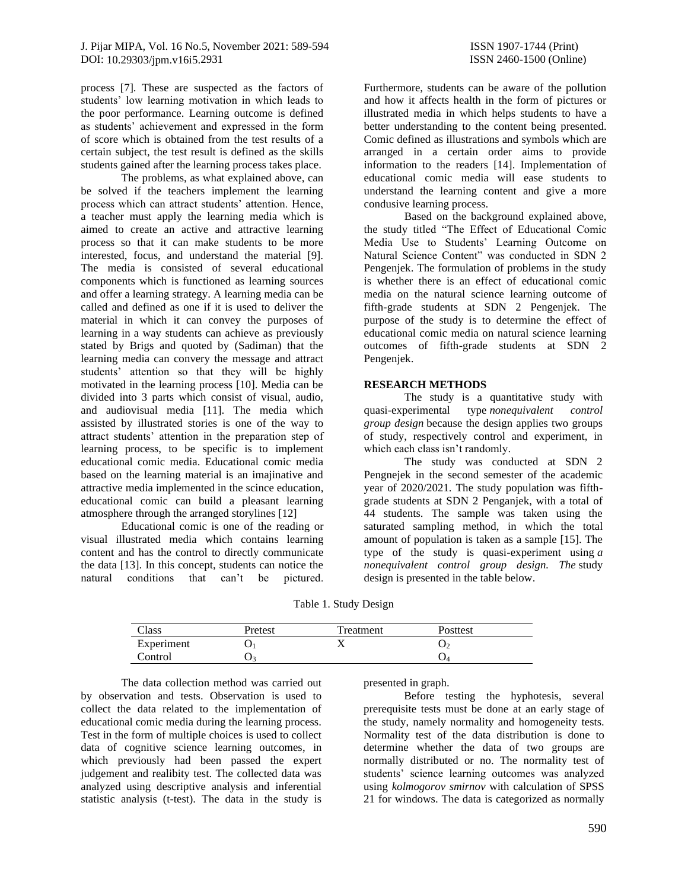process [7]. These are suspected as the factors of students' low learning motivation in which leads to the poor performance. Learning outcome is defined as students' achievement and expressed in the form of score which is obtained from the test results of a certain subject, the test result is defined as the skills students gained after the learning process takes place.

The problems, as what explained above, can be solved if the teachers implement the learning process which can attract students' attention. Hence, a teacher must apply the learning media which is aimed to create an active and attractive learning process so that it can make students to be more interested, focus, and understand the material [9]. The media is consisted of several educational components which is functioned as learning sources and offer a learning strategy. A learning media can be called and defined as one if it is used to deliver the material in which it can convey the purposes of learning in a way students can achieve as previously stated by Brigs and quoted by (Sadiman) that the learning media can convery the message and attract students' attention so that they will be highly motivated in the learning process [10]. Media can be divided into 3 parts which consist of visual, audio, and audiovisual media [11]. The media which assisted by illustrated stories is one of the way to attract students' attention in the preparation step of learning process, to be specific is to implement educational comic media. Educational comic media based on the learning material is an imajinative and attractive media implemented in the scince education, educational comic can build a pleasant learning atmosphere through the arranged storylines [12]

Educational comic is one of the reading or visual illustrated media which contains learning content and has the control to directly communicate the data [13]. In this concept, students can notice the natural conditions that can't be pictured.

Furthermore, students can be aware of the pollution and how it affects health in the form of pictures or illustrated media in which helps students to have a better understanding to the content being presented. Comic defined as illustrations and symbols which are arranged in a certain order aims to provide information to the readers [14]. Implementation of educational comic media will ease students to understand the learning content and give a more condusive learning process.

Based on the background explained above, the study titled "The Effect of Educational Comic Media Use to Students' Learning Outcome on Natural Science Content" was conducted in SDN 2 Pengenjek. The formulation of problems in the study is whether there is an effect of educational comic media on the natural science learning outcome of fifth-grade students at SDN 2 Pengenjek. The purpose of the study is to determine the effect of educational comic media on natural science learning outcomes of fifth-grade students at SDN 2 Pengenjek.

## **RESEARCH METHODS**

The study is a quantitative study with quasi-experimental type *nonequivalent control group design* because the design applies two groups of study, respectively control and experiment, in which each class isn't randomly.

The study was conducted at SDN 2 Pengnejek in the second semester of the academic year of 2020/2021. The study population was fifthgrade students at SDN 2 Penganjek, with a total of 44 students. The sample was taken using the saturated sampling method, in which the total amount of population is taken as a sample [15]. The type of the study is quasi-experiment using *a nonequivalent control group design. The* study design is presented in the table below.

Table 1. Study Design

| Class      | Pretest | Treatment | Posttest |  |
|------------|---------|-----------|----------|--|
| Experiment |         |           | بں       |  |
| Control    |         |           | U4       |  |

The data collection method was carried out by observation and tests. Observation is used to collect the data related to the implementation of educational comic media during the learning process. Test in the form of multiple choices is used to collect data of cognitive science learning outcomes, in which previously had been passed the expert judgement and realibity test. The collected data was analyzed using descriptive analysis and inferential statistic analysis (t-test). The data in the study is presented in graph.

Before testing the hyphotesis, several prerequisite tests must be done at an early stage of the study, namely normality and homogeneity tests. Normality test of the data distribution is done to determine whether the data of two groups are normally distributed or no. The normality test of students' science learning outcomes was analyzed using *kolmogorov smirnov* with calculation of SPSS 21 for windows. The data is categorized as normally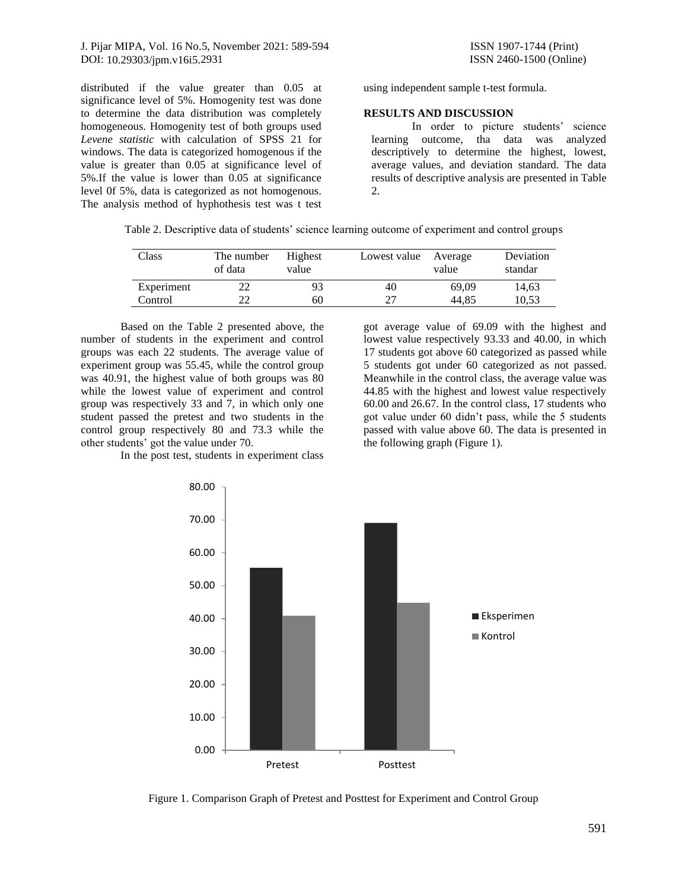J. Pijar MIPA, Vol. 16 No.5, November 2021: 589-594 ISSN 1907-1744 (Print) DOI: [10.29303/jpm.v16i5.2931](http://dx.doi.org/10.29303/jpm.v16i5.2931) ISSN 2460-1500 (Online)

distributed if the value greater than 0.05 at significance level of 5%. Homogenity test was done to determine the data distribution was completely homogeneous. Homogenity test of both groups used *Levene statistic* with calculation of SPSS 21 for windows. The data is categorized homogenous if the value is greater than 0.05 at significance level of 5%.If the value is lower than 0.05 at significance level 0f 5%, data is categorized as not homogenous. The analysis method of hyphothesis test was t test using independent sample t-test formula.

#### **RESULTS AND DISCUSSION**

In order to picture students' science learning outcome, tha data was analyzed descriptively to determine the highest, lowest, average values, and deviation standard. The data results of descriptive analysis are presented in Table 2.

|  | Table 2. Descriptive data of students' science learning outcome of experiment and control groups |  |  |  |
|--|--------------------------------------------------------------------------------------------------|--|--|--|

| Class      | The number<br>of data | Highest<br>value | Lowest value Average | value | Deviation<br>standar |
|------------|-----------------------|------------------|----------------------|-------|----------------------|
| Experiment | 22                    | 93               | 40                   | 69.09 | 14,63                |
| Control    |                       | 60               | つつ                   | 44.85 | 10,53                |

Based on the Table 2 presented above, the number of students in the experiment and control groups was each 22 students. The average value of experiment group was 55.45, while the control group was 40.91, the highest value of both groups was 80 while the lowest value of experiment and control group was respectively 33 and 7, in which only one student passed the pretest and two students in the control group respectively 80 and 73.3 while the other students' got the value under 70.

In the post test, students in experiment class

got average value of 69.09 with the highest and lowest value respectively 93.33 and 40.00, in which 17 students got above 60 categorized as passed while 5 students got under 60 categorized as not passed. Meanwhile in the control class, the average value was 44.85 with the highest and lowest value respectively 60.00 and 26.67. In the control class, 17 students who got value under 60 didn't pass, while the 5 students passed with value above 60. The data is presented in the following graph (Figure 1).



Figure 1. Comparison Graph of Pretest and Posttest for Experiment and Control Group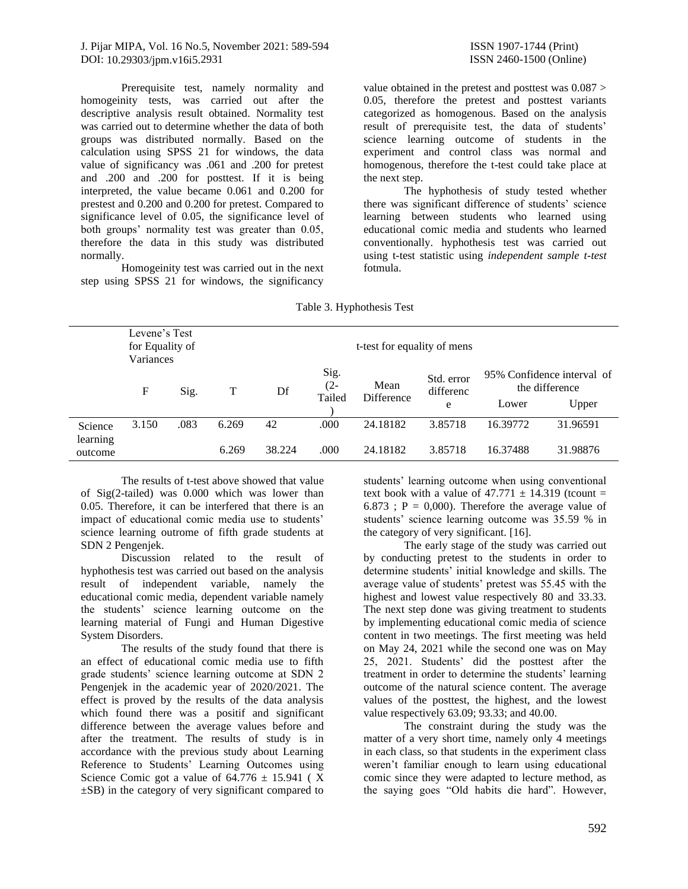J. Pijar MIPA, Vol. 16 No.5, November 2021: 589-594 ISSN 1907-1744 (Print) DOI: [10.29303/jpm.v16i5.2931](http://dx.doi.org/10.29303/jpm.v16i5.2931) ISSN 2460-1500 (Online)

Prerequisite test, namely normality and homogeinity tests, was carried out after the descriptive analysis result obtained. Normality test was carried out to determine whether the data of both groups was distributed normally. Based on the calculation using SPSS 21 for windows, the data value of significancy was .061 and .200 for pretest and .200 and .200 for posttest. If it is being interpreted, the value became 0.061 and 0.200 for prestest and 0.200 and 0.200 for pretest. Compared to significance level of 0.05, the significance level of both groups' normality test was greater than 0.05, therefore the data in this study was distributed normally.

Homogeinity test was carried out in the next step using SPSS 21 for windows, the significancy

value obtained in the pretest and posttest was 0.087 > 0.05, therefore the pretest and posttest variants categorized as homogenous. Based on the analysis result of prerequisite test, the data of students' science learning outcome of students in the experiment and control class was normal and homogenous, therefore the t-test could take place at the next step.

The hyphothesis of study tested whether there was significant difference of students' science learning between students who learned using educational comic media and students who learned conventionally. hyphothesis test was carried out using t-test statistic using *independent sample t-test*  fotmula.

| Levene's Test<br>for Equality of<br>Variances |       |      |       |        | t-test for equality of mens |                           |                              |          |                                                       |
|-----------------------------------------------|-------|------|-------|--------|-----------------------------|---------------------------|------------------------------|----------|-------------------------------------------------------|
|                                               | F     | Sig. | T     | Df     | Sig.<br>$(2 -$<br>Tailed    | Mean<br><b>Difference</b> | Std. error<br>differenc<br>e | Lower    | 95% Confidence interval of<br>the difference<br>Upper |
| Science<br>learning                           | 3.150 | .083 | 6.269 | 42     | .000                        | 24.18182                  | 3.85718                      | 16.39772 | 31.96591                                              |
| outcome                                       |       |      | 6.269 | 38.224 | .000                        | 24.18182                  | 3.85718                      | 16.37488 | 31.98876                                              |

Table 3. Hyphothesis Test

The results of t-test above showed that value of Sig(2-tailed) was 0.000 which was lower than 0.05. Therefore, it can be interfered that there is an impact of educational comic media use to students' science learning outrome of fifth grade students at SDN 2 Pengenjek.

Discussion related to the result of hyphothesis test was carried out based on the analysis result of independent variable, namely the educational comic media, dependent variable namely the students' science learning outcome on the learning material of Fungi and Human Digestive System Disorders.

The results of the study found that there is an effect of educational comic media use to fifth grade students' science learning outcome at SDN 2 Pengenjek in the academic year of 2020/2021. The effect is proved by the results of the data analysis which found there was a positif and significant difference between the average values before and after the treatment. The results of study is in accordance with the previous study about Learning Reference to Students' Learning Outcomes using Science Comic got a value of  $64.776 \pm 15.941$  (X) ±SB) in the category of very significant compared to

students' learning outcome when using conventional text book with a value of  $47.771 \pm 14.319$  (tcount = 6.873 ;  $P = 0,000$ . Therefore the average value of students' science learning outcome was 35.59 % in the category of very significant. [16].

The early stage of the study was carried out by conducting pretest to the students in order to determine students' initial knowledge and skills. The average value of students' pretest was 55.45 with the highest and lowest value respectively 80 and 33.33. The next step done was giving treatment to students by implementing educational comic media of science content in two meetings. The first meeting was held on May 24, 2021 while the second one was on May 25, 2021. Students' did the posttest after the treatment in order to determine the students' learning outcome of the natural science content. The average values of the posttest, the highest, and the lowest value respectively 63.09; 93.33; and 40.00.

The constraint during the study was the matter of a very short time, namely only 4 meetings in each class, so that students in the experiment class weren't familiar enough to learn using educational comic since they were adapted to lecture method, as the saying goes "Old habits die hard". However,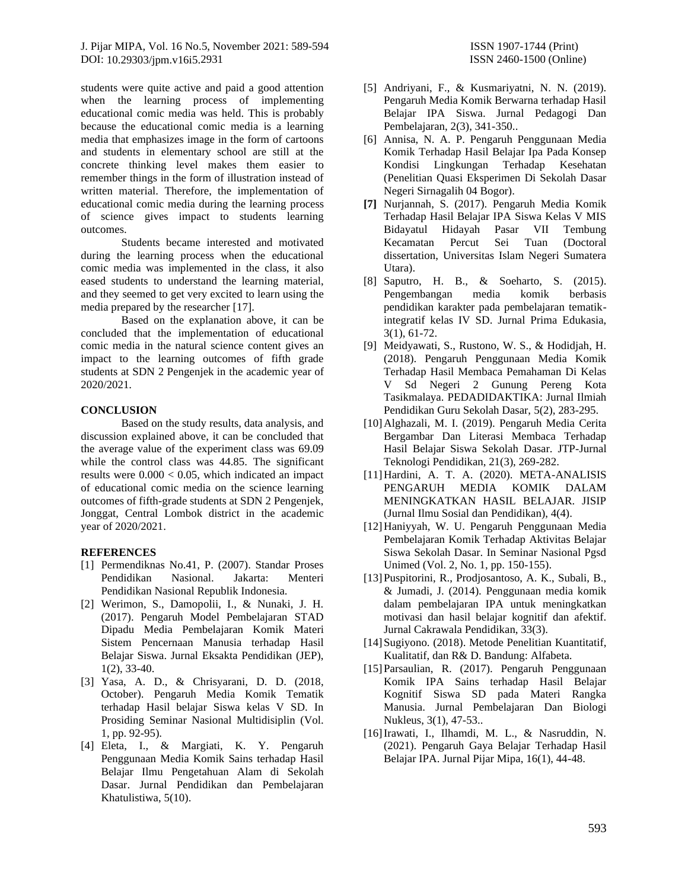J. Pijar MIPA, Vol. 16 No.5, November 2021: 589-594 ISSN 1907-1744 (Print) DOI: [10.29303/jpm.v16i5.2931](http://dx.doi.org/10.29303/jpm.v16i5.2931) ISSN 2460-1500 (Online)

students were quite active and paid a good attention when the learning process of implementing educational comic media was held. This is probably because the educational comic media is a learning media that emphasizes image in the form of cartoons and students in elementary school are still at the concrete thinking level makes them easier to remember things in the form of illustration instead of written material. Therefore, the implementation of educational comic media during the learning process of science gives impact to students learning outcomes.

Students became interested and motivated during the learning process when the educational comic media was implemented in the class, it also eased students to understand the learning material, and they seemed to get very excited to learn using the media prepared by the researcher [17].

Based on the explanation above, it can be concluded that the implementation of educational comic media in the natural science content gives an impact to the learning outcomes of fifth grade students at SDN 2 Pengenjek in the academic year of 2020/2021.

### **CONCLUSION**

Based on the study results, data analysis, and discussion explained above, it can be concluded that the average value of the experiment class was 69.09 while the control class was 44.85. The significant results were  $0.000 < 0.05$ , which indicated an impact of educational comic media on the science learning outcomes of fifth-grade students at SDN 2 Pengenjek, Jonggat, Central Lombok district in the academic year of 2020/2021.

### **REFERENCES**

- [1] Permendiknas No.41, P. (2007). Standar Proses Pendidikan Nasional. Jakarta: Menteri Pendidikan Nasional Republik Indonesia.
- [2] Werimon, S., Damopolii, I., & Nunaki, J. H. (2017). Pengaruh Model Pembelajaran STAD Dipadu Media Pembelajaran Komik Materi Sistem Pencernaan Manusia terhadap Hasil Belajar Siswa. Jurnal Eksakta Pendidikan (JEP), 1(2), 33-40.
- [3] Yasa, A. D., & Chrisyarani, D. D. (2018, October). Pengaruh Media Komik Tematik terhadap Hasil belajar Siswa kelas V SD. In Prosiding Seminar Nasional Multidisiplin (Vol. 1, pp. 92-95).
- [4] Eleta, I., & Margiati, K. Y. Pengaruh Penggunaan Media Komik Sains terhadap Hasil Belajar Ilmu Pengetahuan Alam di Sekolah Dasar. Jurnal Pendidikan dan Pembelajaran Khatulistiwa, 5(10).
- [5] Andriyani, F., & Kusmariyatni, N. N. (2019). Pengaruh Media Komik Berwarna terhadap Hasil Belajar IPA Siswa. Jurnal Pedagogi Dan Pembelajaran, 2(3), 341-350..
- [6] Annisa, N. A. P. Pengaruh Penggunaan Media Komik Terhadap Hasil Belajar Ipa Pada Konsep Kondisi Lingkungan Terhadap Kesehatan (Penelitian Quasi Eksperimen Di Sekolah Dasar Negeri Sirnagalih 04 Bogor).
- **[7]** Nurjannah, S. (2017). Pengaruh Media Komik Terhadap Hasil Belajar IPA Siswa Kelas V MIS Bidayatul Hidayah Pasar VII Tembung Kecamatan Percut Sei Tuan (Doctoral dissertation, Universitas Islam Negeri Sumatera Utara).
- [8] Saputro, H. B., & Soeharto, S. (2015). Pengembangan media komik berbasis pendidikan karakter pada pembelajaran tematikintegratif kelas IV SD. Jurnal Prima Edukasia, 3(1), 61-72.
- [9] Meidyawati, S., Rustono, W. S., & Hodidjah, H. (2018). Pengaruh Penggunaan Media Komik Terhadap Hasil Membaca Pemahaman Di Kelas V Sd Negeri 2 Gunung Pereng Kota Tasikmalaya. PEDADIDAKTIKA: Jurnal Ilmiah Pendidikan Guru Sekolah Dasar, 5(2), 283-295.
- [10]Alghazali, M. I. (2019). Pengaruh Media Cerita Bergambar Dan Literasi Membaca Terhadap Hasil Belajar Siswa Sekolah Dasar. JTP-Jurnal Teknologi Pendidikan, 21(3), 269-282.
- [11]Hardini, A. T. A. (2020). META-ANALISIS PENGARUH MEDIA KOMIK DALAM MENINGKATKAN HASIL BELAJAR. JISIP (Jurnal Ilmu Sosial dan Pendidikan), 4(4).
- [12]Haniyyah, W. U. Pengaruh Penggunaan Media Pembelajaran Komik Terhadap Aktivitas Belajar Siswa Sekolah Dasar. In Seminar Nasional Pgsd Unimed (Vol. 2, No. 1, pp. 150-155).
- [13]Puspitorini, R., Prodjosantoso, A. K., Subali, B., & Jumadi, J. (2014). Penggunaan media komik dalam pembelajaran IPA untuk meningkatkan motivasi dan hasil belajar kognitif dan afektif. Jurnal Cakrawala Pendidikan, 33(3).
- [14]Sugiyono. (2018). Metode Penelitian Kuantitatif, Kualitatif, dan R& D. Bandung: Alfabeta.
- [15]Parsaulian, R. (2017). Pengaruh Penggunaan Komik IPA Sains terhadap Hasil Belajar Kognitif Siswa SD pada Materi Rangka Manusia. Jurnal Pembelajaran Dan Biologi Nukleus, 3(1), 47-53..
- [16]Irawati, I., Ilhamdi, M. L., & Nasruddin, N. (2021). Pengaruh Gaya Belajar Terhadap Hasil Belajar IPA. Jurnal Pijar Mipa, 16(1), 44-48.